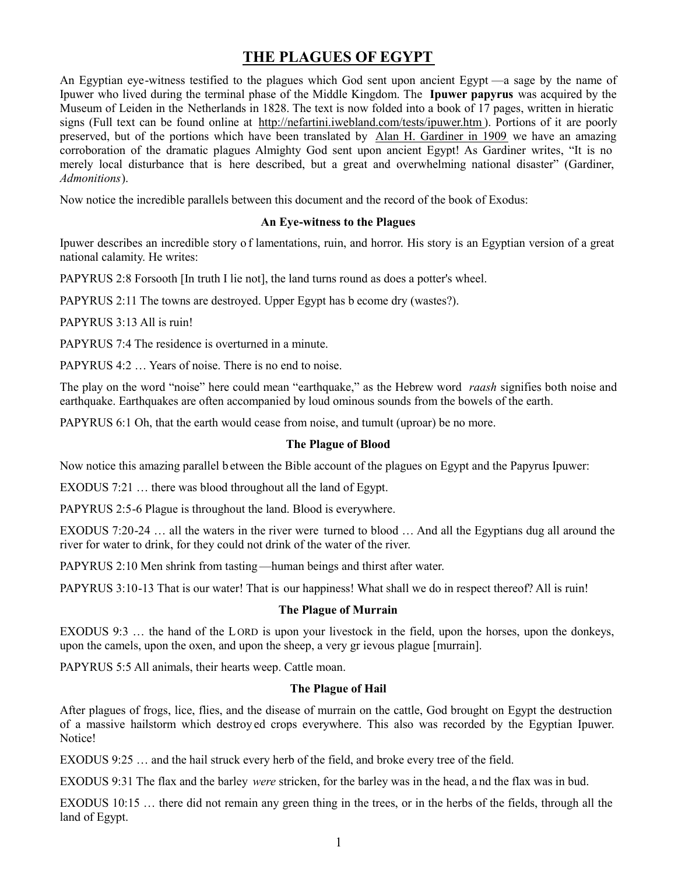# **THE PLAGUES OF EGYPT**

An Egyptian eye-witness testified to the plagues which God sent upon ancient Egypt —a sage by the name of Ipuwer who lived during the terminal phase of the Middle Kingdom. The **Ipuwer papyrus** was acquired by the Museum of Leiden in the Netherlands in 1828. The text is now folded into a book of 17 pages, written in hieratic signs (Full text can be found online at http://nefartini.iwebland.com/tests/ipuwer.htm [\). Portions of it are poorly](http://nefartini.iwebland.com/tests/ipuwer.htm) preserved, but of the portions which have been translated by Alan H. Gardiner in 1909 we have an amazing corroboration of the dramatic plagues Almighty God sent upon ancient Egypt! As Gardiner writes, "It is no merely local disturbance that is here described, but a great and overwhelming national disaster" (Gardiner, *Admonitions*).

Now notice the incredible parallels between this document and the record of the book of Exodus:

# **An Eye-witness to the Plagues**

Ipuwer describes an incredible story o f lamentations, ruin, and horror. His story is an Egyptian version of a great national calamity. He writes:

PAPYRUS 2:8 Forsooth [In truth I lie not], the land turns round as does a potter's wheel.

PAPYRUS 2:11 The towns are destroyed. Upper Egypt has b ecome dry (wastes?).

PAPYRUS 3:13 All is ruin!

PAPYRUS 7:4 The residence is overturned in a minute.

PAPYRUS 4:2 … Years of noise. There is no end to noise.

The play on the word "noise" here could mean "earthquake," as the Hebrew word *raash* signifies both noise and earthquake. Earthquakes are often accompanied by loud ominous sounds from the bowels of the earth.

PAPYRUS 6:1 Oh, that the earth would cease from noise, and tumult (uproar) be no more.

# **The Plague of Blood**

Now notice this amazing parallel b etween the Bible account of the plagues on Egypt and the Papyrus Ipuwer:

EXODUS 7:21 … there was blood throughout all the land of Egypt.

PAPYRUS 2:5-6 Plague is throughout the land. Blood is everywhere.

EXODUS 7:20-24 … all the waters in the river were turned to blood … And all the Egyptians dug all around the river for water to drink, for they could not drink of the water of the river.

PAPYRUS 2:10 Men shrink from tasting—human beings and thirst after water.

PAPYRUS 3:10-13 That is our water! That is our happiness! What shall we do in respect thereof? All is ruin!

## **The Plague of Murrain**

EXODUS 9:3 … the hand of the L ORD is upon your livestock in the field, upon the horses, upon the donkeys, upon the camels, upon the oxen, and upon the sheep, a very gr ievous plague [murrain].

PAPYRUS 5:5 All animals, their hearts weep. Cattle moan.

# **The Plague of Hail**

After plagues of frogs, lice, flies, and the disease of murrain on the cattle, God brought on Egypt the destruction of a massive hailstorm which destroy ed crops everywhere. This also was recorded by the Egyptian Ipuwer. Notice!

EXODUS 9:25 … and the hail struck every herb of the field, and broke every tree of the field.

EXODUS 9:31 The flax and the barley *were* stricken, for the barley was in the head, a nd the flax was in bud.

EXODUS 10:15 … there did not remain any green thing in the trees, or in the herbs of the fields, through all the land of Egypt.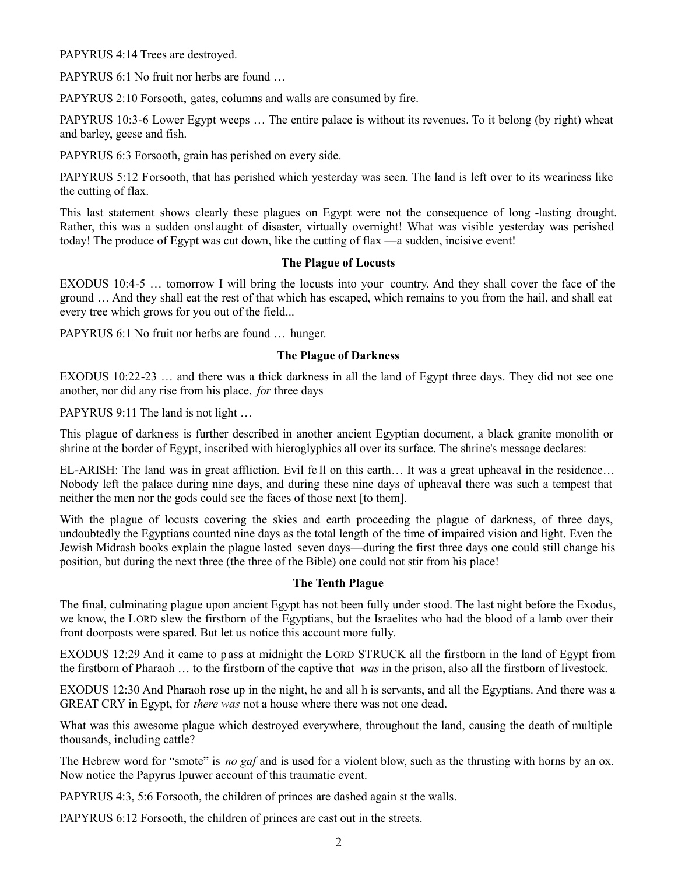PAPYRUS 4:14 Trees are destroyed.

PAPYRUS 6:1 No fruit nor herbs are found ...

PAPYRUS 2:10 Forsooth, gates, columns and walls are consumed by fire.

PAPYRUS 10:3-6 Lower Egypt weeps … The entire palace is without its revenues. To it belong (by right) wheat and barley, geese and fish.

PAPYRUS 6:3 Forsooth, grain has perished on every side.

PAPYRUS 5:12 Forsooth, that has perished which yesterday was seen. The land is left over to its weariness like the cutting of flax.

This last statement shows clearly these plagues on Egypt were not the consequence of long -lasting drought. Rather, this was a sudden onsl aught of disaster, virtually overnight! What was visible yesterday was perished today! The produce of Egypt was cut down, like the cutting of flax —a sudden, incisive event!

#### **The Plague of Locusts**

EXODUS 10:4-5 … tomorrow I will bring the locusts into your country. And they shall cover the face of the ground … And they shall eat the rest of that which has escaped, which remains to you from the hail, and shall eat every tree which grows for you out of the field...

PAPYRUS 6:1 No fruit nor herbs are found … hunger.

#### **The Plague of Darkness**

EXODUS 10:22-23 … and there was a thick darkness in all the land of Egypt three days. They did not see one another, nor did any rise from his place, *for* three days

PAPYRUS 9:11 The land is not light ...

This plague of darkness is further described in another ancient Egyptian document, a black granite monolith or shrine at the border of Egypt, inscribed with hieroglyphics all over its surface. The shrine's message declares:

EL-ARISH: The land was in great affliction. Evil fe ll on this earth… It was a great upheaval in the residence… Nobody left the palace during nine days, and during these nine days of upheaval there was such a tempest that neither the men nor the gods could see the faces of those next [to them].

With the plague of locusts covering the skies and earth proceeding the plague of darkness, of three days, undoubtedly the Egyptians counted nine days as the total length of the time of impaired vision and light. Even the Jewish Midrash books explain the plague lasted seven days—during the first three days one could still change his position, but during the next three (the three of the Bible) one could not stir from his place!

#### **The Tenth Plague**

The final, culminating plague upon ancient Egypt has not been fully under stood. The last night before the Exodus, we know, the LORD slew the firstborn of the Egyptians, but the Israelites who had the blood of a lamb over their front doorposts were spared. But let us notice this account more fully.

EXODUS 12:29 And it came to p ass at midnight the LORD STRUCK all the firstborn in the land of Egypt from the firstborn of Pharaoh … to the firstborn of the captive that *was* in the prison, also all the firstborn of livestock.

EXODUS 12:30 And Pharaoh rose up in the night, he and all h is servants, and all the Egyptians. And there was a GREAT CRY in Egypt, for *there was* not a house where there was not one dead.

What was this awesome plague which destroyed everywhere, throughout the land, causing the death of multiple thousands, including cattle?

The Hebrew word for "smote" is *no gaf* and is used for a violent blow, such as the thrusting with horns by an ox. Now notice the Papyrus Ipuwer account of this traumatic event.

PAPYRUS 4:3, 5:6 Forsooth, the children of princes are dashed again st the walls.

PAPYRUS 6:12 Forsooth, the children of princes are cast out in the streets.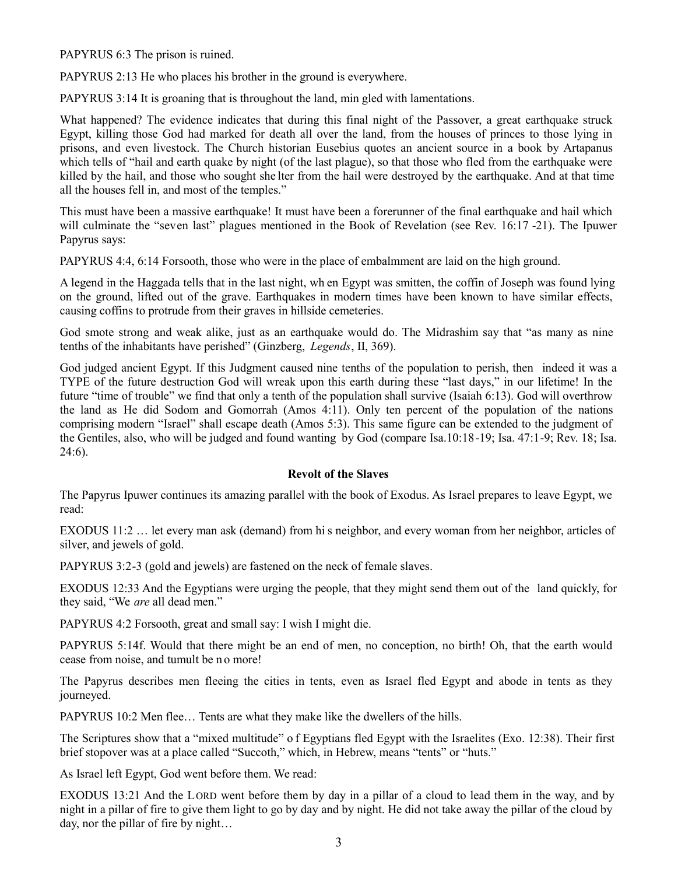PAPYRUS 6:3 The prison is ruined.

PAPYRUS 2:13 He who places his brother in the ground is everywhere.

PAPYRUS 3:14 It is groaning that is throughout the land, min gled with lamentations.

What happened? The evidence indicates that during this final night of the Passover, a great earthquake struck Egypt, killing those God had marked for death all over the land, from the houses of princes to those lying in prisons, and even livestock. The Church historian Eusebius quotes an ancient source in a book by Artapanus which tells of "hail and earth quake by night (of the last plague), so that those who fled from the earthquake were killed by the hail, and those who sought she lter from the hail were destroyed by the earthquake. And at that time all the houses fell in, and most of the temples."

This must have been a massive earthquake! It must have been a forerunner of the final earthquake and hail which will culminate the "seven last" plagues mentioned in the Book of Revelation (see Rev. 16:17 -21). The Ipuwer Papyrus says:

PAPYRUS 4:4, 6:14 Forsooth, those who were in the place of embalmment are laid on the high ground.

A legend in the Haggada tells that in the last night, wh en Egypt was smitten, the coffin of Joseph was found lying on the ground, lifted out of the grave. Earthquakes in modern times have been known to have similar effects, causing coffins to protrude from their graves in hillside cemeteries.

God smote strong and weak alike, just as an earthquake would do. The Midrashim say that "as many as nine tenths of the inhabitants have perished" (Ginzberg, *Legends*, II, 369).

God judged ancient Egypt. If this Judgment caused nine tenths of the population to perish, then indeed it was a TYPE of the future destruction God will wreak upon this earth during these "last days," in our lifetime! In the future "time of trouble" we find that only a tenth of the population shall survive (Isaiah 6:13). God will overthrow the land as He did Sodom and Gomorrah (Amos 4:11). Only ten percent of the population of the nations comprising modern "Israel" shall escape death (Amos 5:3). This same figure can be extended to the judgment of the Gentiles, also, who will be judged and found wanting by God (compare Isa.10:18-19; Isa. 47:1-9; Rev. 18; Isa.  $24:6$ ).

# **Revolt of the Slaves**

The Papyrus Ipuwer continues its amazing parallel with the book of Exodus. As Israel prepares to leave Egypt, we read:

EXODUS 11:2 … let every man ask (demand) from hi s neighbor, and every woman from her neighbor, articles of silver, and jewels of gold.

PAPYRUS 3:2-3 (gold and jewels) are fastened on the neck of female slaves.

EXODUS 12:33 And the Egyptians were urging the people, that they might send them out of the land quickly, for they said, "We *are* all dead men."

PAPYRUS 4:2 Forsooth, great and small say: I wish I might die.

PAPYRUS 5:14f. Would that there might be an end of men, no conception, no birth! Oh, that the earth would cease from noise, and tumult be n o more!

The Papyrus describes men fleeing the cities in tents, even as Israel fled Egypt and abode in tents as they journeyed.

PAPYRUS 10:2 Men flee… Tents are what they make like the dwellers of the hills.

The Scriptures show that a "mixed multitude" o f Egyptians fled Egypt with the Israelites (Exo. 12:38). Their first brief stopover was at a place called "Succoth," which, in Hebrew, means "tents" or "huts."

As Israel left Egypt, God went before them. We read:

EXODUS 13:21 And the LORD went before them by day in a pillar of a cloud to lead them in the way, and by night in a pillar of fire to give them light to go by day and by night. He did not take away the pillar of the cloud by day, nor the pillar of fire by night…